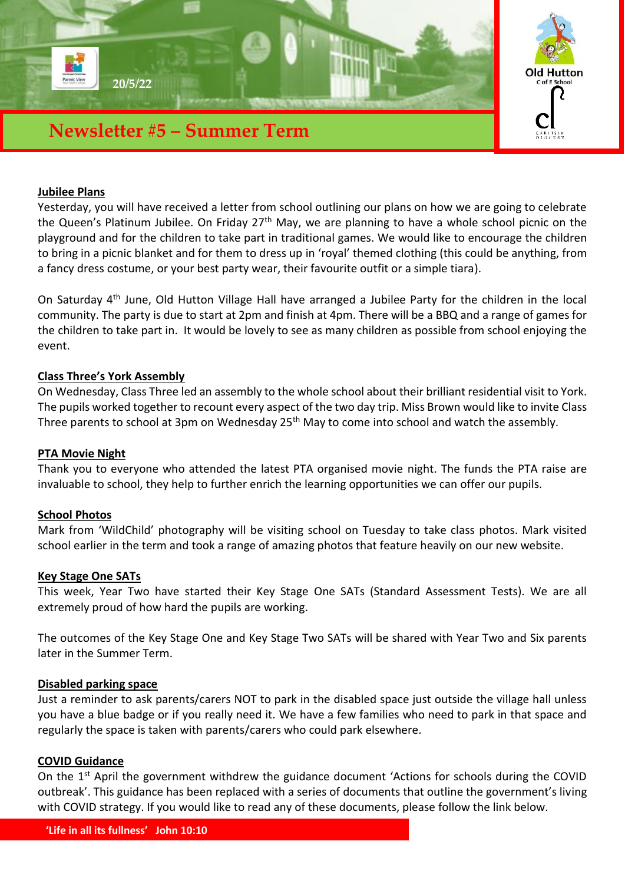

## **Jubilee Plans**

Yesterday, you will have received a letter from school outlining our plans on how we are going to celebrate the Queen's Platinum Jubilee. On Friday 27<sup>th</sup> May, we are planning to have a whole school picnic on the playground and for the children to take part in traditional games. We would like to encourage the children to bring in a picnic blanket and for them to dress up in 'royal' themed clothing (this could be anything, from a fancy dress costume, or your best party wear, their favourite outfit or a simple tiara).

On Saturday 4th June, Old Hutton Village Hall have arranged a Jubilee Party for the children in the local community. The party is due to start at 2pm and finish at 4pm. There will be a BBQ and a range of games for the children to take part in. It would be lovely to see as many children as possible from school enjoying the event.

### **Class Three's York Assembly**

On Wednesday, Class Three led an assembly to the whole school about their brilliant residential visit to York. The pupils worked together to recount every aspect of the two day trip. Miss Brown would like to invite Class Three parents to school at 3pm on Wednesday 25<sup>th</sup> May to come into school and watch the assembly.

#### **PTA Movie Night**

Thank you to everyone who attended the latest PTA organised movie night. The funds the PTA raise are invaluable to school, they help to further enrich the learning opportunities we can offer our pupils.

#### **School Photos**

Mark from 'WildChild' photography will be visiting school on Tuesday to take class photos. Mark visited school earlier in the term and took a range of amazing photos that feature heavily on our new website.

#### **Key Stage One SATs**

This week, Year Two have started their Key Stage One SATs (Standard Assessment Tests). We are all extremely proud of how hard the pupils are working.

The outcomes of the Key Stage One and Key Stage Two SATs will be shared with Year Two and Six parents later in the Summer Term.

### **Disabled parking space**

Just a reminder to ask parents/carers NOT to park in the disabled space just outside the village hall unless you have a blue badge or if you really need it. We have a few families who need to park in that space and regularly the space is taken with parents/carers who could park elsewhere.

### **COVID Guidance**

On the 1<sup>st</sup> April the government withdrew the guidance document 'Actions for schools during the COVID outbreak'. This guidance has been replaced with a series of documents that outline the government's living with COVID strategy. If you would like to read any of these documents, please follow the link below.